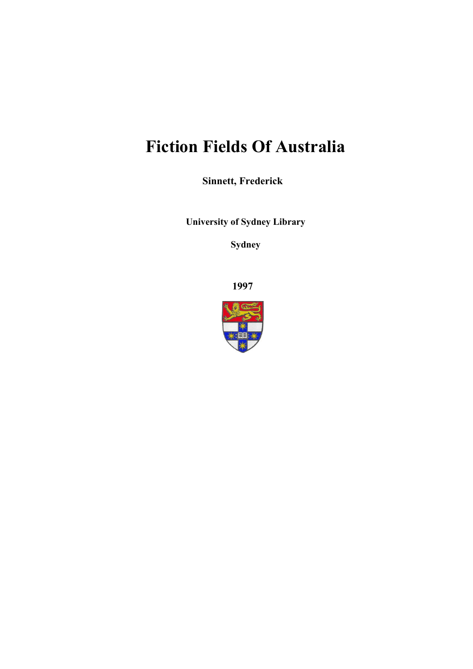# **Fiction Fields Of Australia**

**Sinnett, Frederick**

**University of Sydney Library** 

**Sydney** 

**1997**

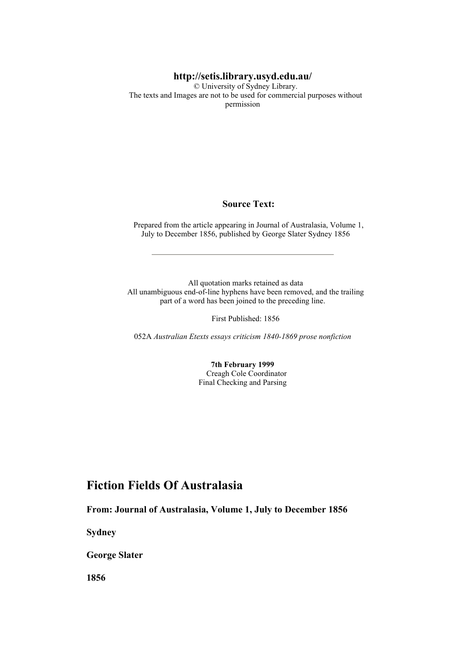#### **http://setis.library.usyd.edu.au/**

 © University of Sydney Library. The texts and Images are not to be used for commercial purposes without permission

#### **Source Text:**

 Prepared from the article appearing in Journal of Australasia, Volume 1, July to December 1856, published by George Slater Sydney 1856

 All quotation marks retained as data All unambiguous end-of-line hyphens have been removed, and the trailing part of a word has been joined to the preceding line.

First Published: 1856

052A *Australian Etexts essays criticism 1840-1869 prose nonfiction*

**7th February 1999** Creagh Cole Coordinator Final Checking and Parsing

## **Fiction Fields Of Australasia**

**From: Journal of Australasia, Volume 1, July to December 1856** 

**Sydney** 

**George Slater** 

**1856**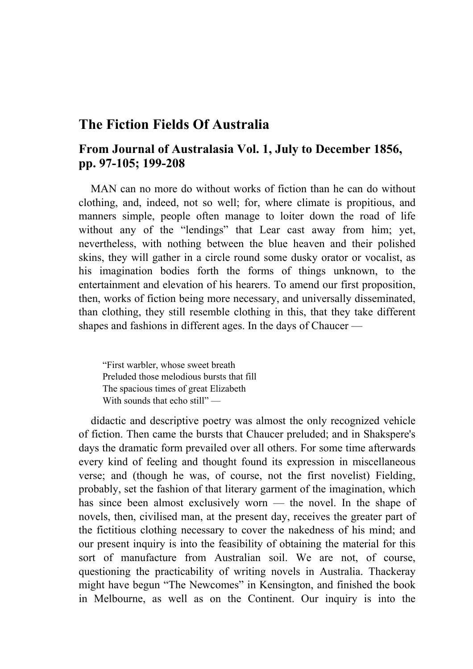## **The Fiction Fields Of Australia**

### **From Journal of Australasia Vol. 1, July to December 1856, pp. 97-105; 199-208**

 MAN can no more do without works of fiction than he can do without clothing, and, indeed, not so well; for, where climate is propitious, and manners simple, people often manage to loiter down the road of life without any of the "lendings" that Lear cast away from him; yet, nevertheless, with nothing between the blue heaven and their polished skins, they will gather in a circle round some dusky orator or vocalist, as his imagination bodies forth the forms of things unknown, to the entertainment and elevation of his hearers. To amend our first proposition, then, works of fiction being more necessary, and universally disseminated, than clothing, they still resemble clothing in this, that they take different shapes and fashions in different ages. In the days of Chaucer —

"First warbler, whose sweet breath Preluded those melodious bursts that fill The spacious times of great Elizabeth With sounds that echo still" —

 didactic and descriptive poetry was almost the only recognized vehicle of fiction. Then came the bursts that Chaucer preluded; and in Shakspere's days the dramatic form prevailed over all others. For some time afterwards every kind of feeling and thought found its expression in miscellaneous verse; and (though he was, of course, not the first novelist) Fielding, probably, set the fashion of that literary garment of the imagination, which has since been almost exclusively worn — the novel. In the shape of novels, then, civilised man, at the present day, receives the greater part of the fictitious clothing necessary to cover the nakedness of his mind; and our present inquiry is into the feasibility of obtaining the material for this sort of manufacture from Australian soil. We are not, of course, questioning the practicability of writing novels in Australia. Thackeray might have begun "The Newcomes" in Kensington, and finished the book in Melbourne, as well as on the Continent. Our inquiry is into the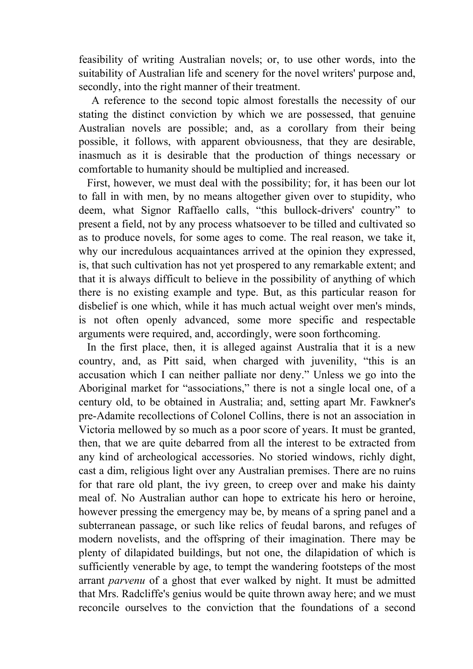feasibility of writing Australian novels; or, to use other words, into the suitability of Australian life and scenery for the novel writers' purpose and, secondly, into the right manner of their treatment.

 A reference to the second topic almost forestalls the necessity of our stating the distinct conviction by which we are possessed, that genuine Australian novels are possible; and, as a corollary from their being possible, it follows, with apparent obviousness, that they are desirable, inasmuch as it is desirable that the production of things necessary or comfortable to humanity should be multiplied and increased.

 First, however, we must deal with the possibility; for, it has been our lot to fall in with men, by no means altogether given over to stupidity, who deem, what Signor Raffaello calls, "this bullock-drivers' country" to present a field, not by any process whatsoever to be tilled and cultivated so as to produce novels, for some ages to come. The real reason, we take it, why our incredulous acquaintances arrived at the opinion they expressed, is, that such cultivation has not yet prospered to any remarkable extent; and that it is always difficult to believe in the possibility of anything of which there is no existing example and type. But, as this particular reason for disbelief is one which, while it has much actual weight over men's minds, is not often openly advanced, some more specific and respectable arguments were required, and, accordingly, were soon forthcoming.

 In the first place, then, it is alleged against Australia that it is a new country, and, as Pitt said, when charged with juvenility, "this is an accusation which I can neither palliate nor deny." Unless we go into the Aboriginal market for "associations," there is not a single local one, of a century old, to be obtained in Australia; and, setting apart Mr. Fawkner's pre-Adamite recollections of Colonel Collins, there is not an association in Victoria mellowed by so much as a poor score of years. It must be granted, then, that we are quite debarred from all the interest to be extracted from any kind of archeological accessories. No storied windows, richly dight, cast a dim, religious light over any Australian premises. There are no ruins for that rare old plant, the ivy green, to creep over and make his dainty meal of. No Australian author can hope to extricate his hero or heroine, however pressing the emergency may be, by means of a spring panel and a subterranean passage, or such like relics of feudal barons, and refuges of modern novelists, and the offspring of their imagination. There may be plenty of dilapidated buildings, but not one, the dilapidation of which is sufficiently venerable by age, to tempt the wandering footsteps of the most arrant *parvenu* of a ghost that ever walked by night. It must be admitted that Mrs. Radcliffe's genius would be quite thrown away here; and we must reconcile ourselves to the conviction that the foundations of a second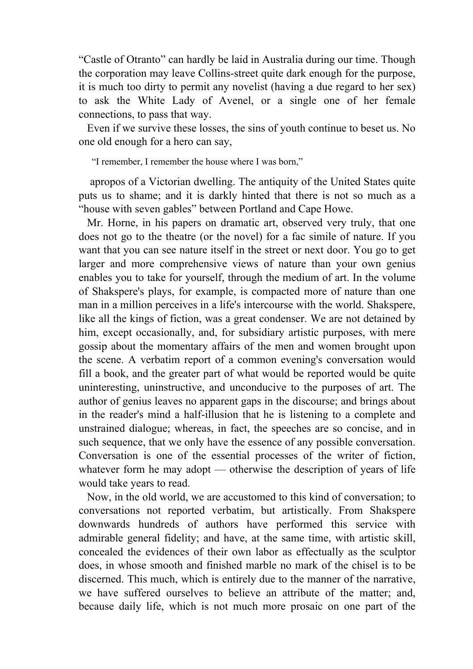"Castle of Otranto" can hardly be laid in Australia during our time. Though the corporation may leave Collins-street quite dark enough for the purpose, it is much too dirty to permit any novelist (having a due regard to her sex) to ask the White Lady of Avenel, or a single one of her female connections, to pass that way.

 Even if we survive these losses, the sins of youth continue to beset us. No one old enough for a hero can say,

"I remember, I remember the house where I was born,"

 apropos of a Victorian dwelling. The antiquity of the United States quite puts us to shame; and it is darkly hinted that there is not so much as a "house with seven gables" between Portland and Cape Howe.

 Mr. Horne, in his papers on dramatic art, observed very truly, that one does not go to the theatre (or the novel) for a fac simile of nature. If you want that you can see nature itself in the street or next door. You go to get larger and more comprehensive views of nature than your own genius enables you to take for yourself, through the medium of art. In the volume of Shakspere's plays, for example, is compacted more of nature than one man in a million perceives in a life's intercourse with the world. Shakspere, like all the kings of fiction, was a great condenser. We are not detained by him, except occasionally, and, for subsidiary artistic purposes, with mere gossip about the momentary affairs of the men and women brought upon the scene. A verbatim report of a common evening's conversation would fill a book, and the greater part of what would be reported would be quite uninteresting, uninstructive, and unconducive to the purposes of art. The author of genius leaves no apparent gaps in the discourse; and brings about in the reader's mind a half-illusion that he is listening to a complete and unstrained dialogue; whereas, in fact, the speeches are so concise, and in such sequence, that we only have the essence of any possible conversation. Conversation is one of the essential processes of the writer of fiction, whatever form he may adopt — otherwise the description of years of life would take years to read.

 Now, in the old world, we are accustomed to this kind of conversation; to conversations not reported verbatim, but artistically. From Shakspere downwards hundreds of authors have performed this service with admirable general fidelity; and have, at the same time, with artistic skill, concealed the evidences of their own labor as effectually as the sculptor does, in whose smooth and finished marble no mark of the chisel is to be discerned. This much, which is entirely due to the manner of the narrative, we have suffered ourselves to believe an attribute of the matter; and, because daily life, which is not much more prosaic on one part of the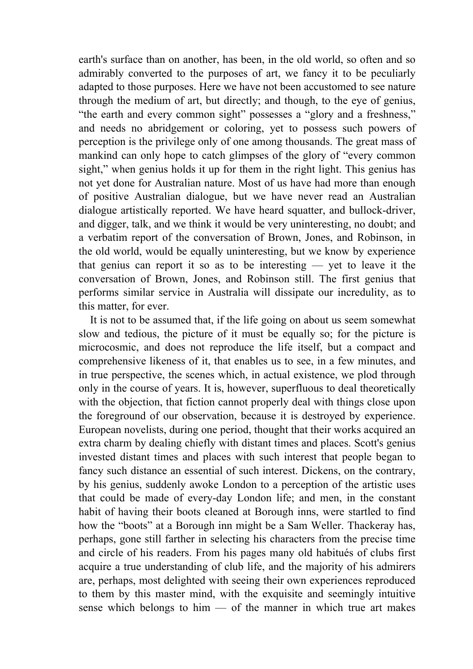earth's surface than on another, has been, in the old world, so often and so admirably converted to the purposes of art, we fancy it to be peculiarly adapted to those purposes. Here we have not been accustomed to see nature through the medium of art, but directly; and though, to the eye of genius, "the earth and every common sight" possesses a "glory and a freshness," and needs no abridgement or coloring, yet to possess such powers of perception is the privilege only of one among thousands. The great mass of mankind can only hope to catch glimpses of the glory of "every common sight," when genius holds it up for them in the right light. This genius has not yet done for Australian nature. Most of us have had more than enough of positive Australian dialogue, but we have never read an Australian dialogue artistically reported. We have heard squatter, and bullock-driver, and digger, talk, and we think it would be very uninteresting, no doubt; and a verbatim report of the conversation of Brown, Jones, and Robinson, in the old world, would be equally uninteresting, but we know by experience that genius can report it so as to be interesting — yet to leave it the conversation of Brown, Jones, and Robinson still. The first genius that performs similar service in Australia will dissipate our incredulity, as to this matter, for ever.

 It is not to be assumed that, if the life going on about us seem somewhat slow and tedious, the picture of it must be equally so; for the picture is microcosmic, and does not reproduce the life itself, but a compact and comprehensive likeness of it, that enables us to see, in a few minutes, and in true perspective, the scenes which, in actual existence, we plod through only in the course of years. It is, however, superfluous to deal theoretically with the objection, that fiction cannot properly deal with things close upon the foreground of our observation, because it is destroyed by experience. European novelists, during one period, thought that their works acquired an extra charm by dealing chiefly with distant times and places. Scott's genius invested distant times and places with such interest that people began to fancy such distance an essential of such interest. Dickens, on the contrary, by his genius, suddenly awoke London to a perception of the artistic uses that could be made of every-day London life; and men, in the constant habit of having their boots cleaned at Borough inns, were startled to find how the "boots" at a Borough inn might be a Sam Weller. Thackeray has, perhaps, gone still farther in selecting his characters from the precise time and circle of his readers. From his pages many old habitués of clubs first acquire a true understanding of club life, and the majority of his admirers are, perhaps, most delighted with seeing their own experiences reproduced to them by this master mind, with the exquisite and seemingly intuitive sense which belongs to him — of the manner in which true art makes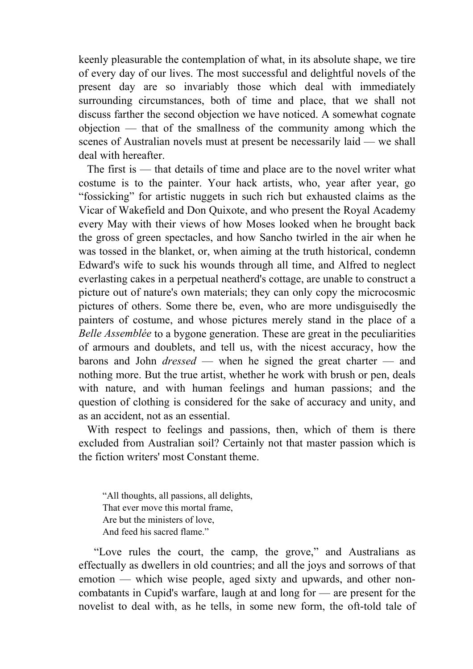keenly pleasurable the contemplation of what, in its absolute shape, we tire of every day of our lives. The most successful and delightful novels of the present day are so invariably those which deal with immediately surrounding circumstances, both of time and place, that we shall not discuss farther the second objection we have noticed. A somewhat cognate objection — that of the smallness of the community among which the scenes of Australian novels must at present be necessarily laid — we shall deal with hereafter.

 The first is — that details of time and place are to the novel writer what costume is to the painter. Your hack artists, who, year after year, go "fossicking" for artistic nuggets in such rich but exhausted claims as the Vicar of Wakefield and Don Quixote, and who present the Royal Academy every May with their views of how Moses looked when he brought back the gross of green spectacles, and how Sancho twirled in the air when he was tossed in the blanket, or, when aiming at the truth historical, condemn Edward's wife to suck his wounds through all time, and Alfred to neglect everlasting cakes in a perpetual neatherd's cottage, are unable to construct a picture out of nature's own materials; they can only copy the microcosmic pictures of others. Some there be, even, who are more undisguisedly the painters of costume, and whose pictures merely stand in the place of a *Belle Assemblée* to a bygone generation. These are great in the peculiarities of armours and doublets, and tell us, with the nicest accuracy, how the barons and John *dressed* — when he signed the great charter — and nothing more. But the true artist, whether he work with brush or pen, deals with nature, and with human feelings and human passions; and the question of clothing is considered for the sake of accuracy and unity, and as an accident, not as an essential.

With respect to feelings and passions, then, which of them is there excluded from Australian soil? Certainly not that master passion which is the fiction writers' most Constant theme.

"All thoughts, all passions, all delights, That ever move this mortal frame, Are but the ministers of love, And feed his sacred flame."

 "Love rules the court, the camp, the grove," and Australians as effectually as dwellers in old countries; and all the joys and sorrows of that emotion — which wise people, aged sixty and upwards, and other noncombatants in Cupid's warfare, laugh at and long for — are present for the novelist to deal with, as he tells, in some new form, the oft-told tale of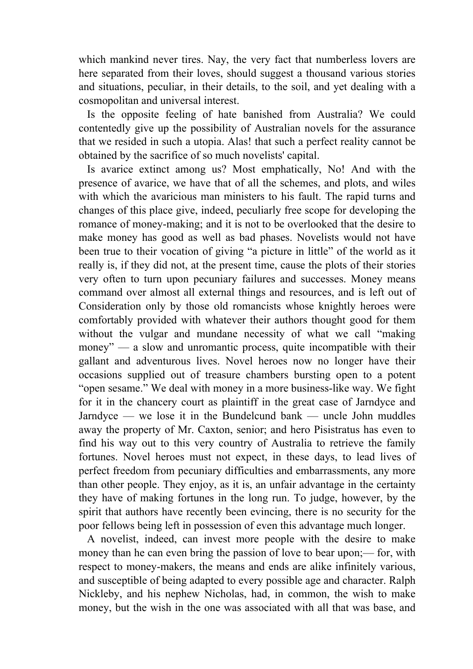which mankind never tires. Nay, the very fact that numberless lovers are here separated from their loves, should suggest a thousand various stories and situations, peculiar, in their details, to the soil, and yet dealing with a cosmopolitan and universal interest.

 Is the opposite feeling of hate banished from Australia? We could contentedly give up the possibility of Australian novels for the assurance that we resided in such a utopia. Alas! that such a perfect reality cannot be obtained by the sacrifice of so much novelists' capital.

 Is avarice extinct among us? Most emphatically, No! And with the presence of avarice, we have that of all the schemes, and plots, and wiles with which the avaricious man ministers to his fault. The rapid turns and changes of this place give, indeed, peculiarly free scope for developing the romance of money-making; and it is not to be overlooked that the desire to make money has good as well as bad phases. Novelists would not have been true to their vocation of giving "a picture in little" of the world as it really is, if they did not, at the present time, cause the plots of their stories very often to turn upon pecuniary failures and successes. Money means command over almost all external things and resources, and is left out of Consideration only by those old romancists whose knightly heroes were comfortably provided with whatever their authors thought good for them without the vulgar and mundane necessity of what we call "making" money" — a slow and unromantic process, quite incompatible with their gallant and adventurous lives. Novel heroes now no longer have their occasions supplied out of treasure chambers bursting open to a potent "open sesame." We deal with money in a more business-like way. We fight for it in the chancery court as plaintiff in the great case of Jarndyce and Jarndyce — we lose it in the Bundelcund bank — uncle John muddles away the property of Mr. Caxton, senior; and hero Pisistratus has even to find his way out to this very country of Australia to retrieve the family fortunes. Novel heroes must not expect, in these days, to lead lives of perfect freedom from pecuniary difficulties and embarrassments, any more than other people. They enjoy, as it is, an unfair advantage in the certainty they have of making fortunes in the long run. To judge, however, by the spirit that authors have recently been evincing, there is no security for the poor fellows being left in possession of even this advantage much longer.

 A novelist, indeed, can invest more people with the desire to make money than he can even bring the passion of love to bear upon;— for, with respect to money-makers, the means and ends are alike infinitely various, and susceptible of being adapted to every possible age and character. Ralph Nickleby, and his nephew Nicholas, had, in common, the wish to make money, but the wish in the one was associated with all that was base, and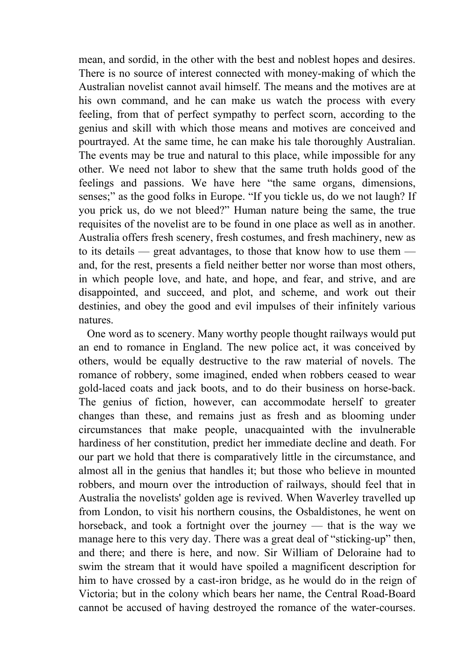mean, and sordid, in the other with the best and noblest hopes and desires. There is no source of interest connected with money-making of which the Australian novelist cannot avail himself. The means and the motives are at his own command, and he can make us watch the process with every feeling, from that of perfect sympathy to perfect scorn, according to the genius and skill with which those means and motives are conceived and pourtrayed. At the same time, he can make his tale thoroughly Australian. The events may be true and natural to this place, while impossible for any other. We need not labor to shew that the same truth holds good of the feelings and passions. We have here "the same organs, dimensions, senses;" as the good folks in Europe. "If you tickle us, do we not laugh? If you prick us, do we not bleed?" Human nature being the same, the true requisites of the novelist are to be found in one place as well as in another. Australia offers fresh scenery, fresh costumes, and fresh machinery, new as to its details — great advantages, to those that know how to use them and, for the rest, presents a field neither better nor worse than most others, in which people love, and hate, and hope, and fear, and strive, and are disappointed, and succeed, and plot, and scheme, and work out their destinies, and obey the good and evil impulses of their infinitely various natures.

 One word as to scenery. Many worthy people thought railways would put an end to romance in England. The new police act, it was conceived by others, would be equally destructive to the raw material of novels. The romance of robbery, some imagined, ended when robbers ceased to wear gold-laced coats and jack boots, and to do their business on horse-back. The genius of fiction, however, can accommodate herself to greater changes than these, and remains just as fresh and as blooming under circumstances that make people, unacquainted with the invulnerable hardiness of her constitution, predict her immediate decline and death. For our part we hold that there is comparatively little in the circumstance, and almost all in the genius that handles it; but those who believe in mounted robbers, and mourn over the introduction of railways, should feel that in Australia the novelists' golden age is revived. When Waverley travelled up from London, to visit his northern cousins, the Osbaldistones, he went on horseback, and took a fortnight over the journey — that is the way we manage here to this very day. There was a great deal of "sticking-up" then, and there; and there is here, and now. Sir William of Deloraine had to swim the stream that it would have spoiled a magnificent description for him to have crossed by a cast-iron bridge, as he would do in the reign of Victoria; but in the colony which bears her name, the Central Road-Board cannot be accused of having destroyed the romance of the water-courses.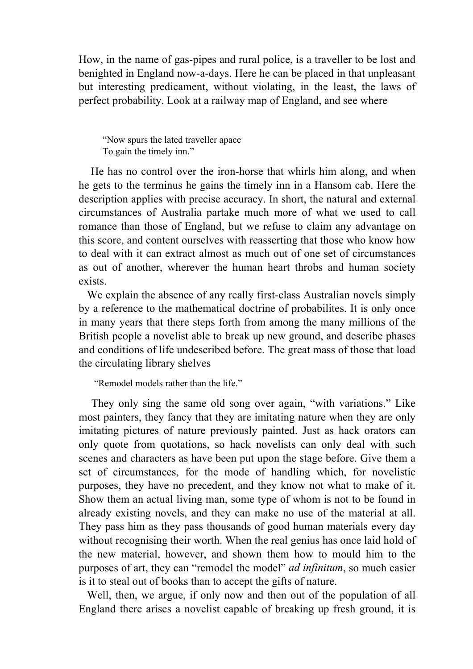How, in the name of gas-pipes and rural police, is a traveller to be lost and benighted in England now-a-days. Here he can be placed in that unpleasant but interesting predicament, without violating, in the least, the laws of perfect probability. Look at a railway map of England, and see where

"Now spurs the lated traveller apace To gain the timely inn."

 He has no control over the iron-horse that whirls him along, and when he gets to the terminus he gains the timely inn in a Hansom cab. Here the description applies with precise accuracy. In short, the natural and external circumstances of Australia partake much more of what we used to call romance than those of England, but we refuse to claim any advantage on this score, and content ourselves with reasserting that those who know how to deal with it can extract almost as much out of one set of circumstances as out of another, wherever the human heart throbs and human society exists.

 We explain the absence of any really first-class Australian novels simply by a reference to the mathematical doctrine of probabilites. It is only once in many years that there steps forth from among the many millions of the British people a novelist able to break up new ground, and describe phases and conditions of life undescribed before. The great mass of those that load the circulating library shelves

"Remodel models rather than the life."

 They only sing the same old song over again, "with variations." Like most painters, they fancy that they are imitating nature when they are only imitating pictures of nature previously painted. Just as hack orators can only quote from quotations, so hack novelists can only deal with such scenes and characters as have been put upon the stage before. Give them a set of circumstances, for the mode of handling which, for novelistic purposes, they have no precedent, and they know not what to make of it. Show them an actual living man, some type of whom is not to be found in already existing novels, and they can make no use of the material at all. They pass him as they pass thousands of good human materials every day without recognising their worth. When the real genius has once laid hold of the new material, however, and shown them how to mould him to the purposes of art, they can "remodel the model" *ad infinitum*, so much easier is it to steal out of books than to accept the gifts of nature.

 Well, then, we argue, if only now and then out of the population of all England there arises a novelist capable of breaking up fresh ground, it is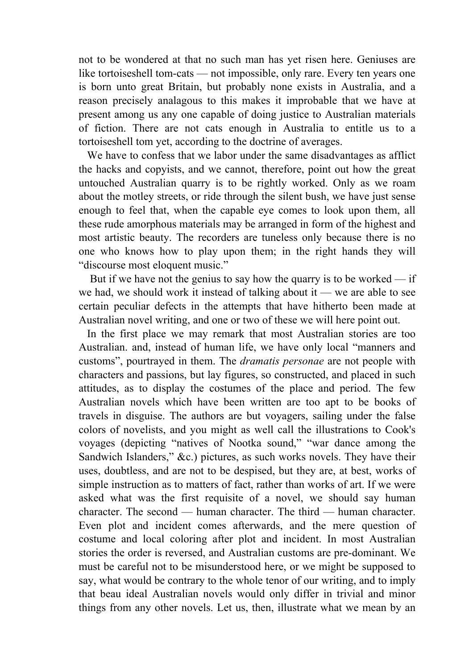not to be wondered at that no such man has yet risen here. Geniuses are like tortoiseshell tom-cats — not impossible, only rare. Every ten years one is born unto great Britain, but probably none exists in Australia, and a reason precisely analagous to this makes it improbable that we have at present among us any one capable of doing justice to Australian materials of fiction. There are not cats enough in Australia to entitle us to a tortoiseshell tom yet, according to the doctrine of averages.

 We have to confess that we labor under the same disadvantages as afflict the hacks and copyists, and we cannot, therefore, point out how the great untouched Australian quarry is to be rightly worked. Only as we roam about the motley streets, or ride through the silent bush, we have just sense enough to feel that, when the capable eye comes to look upon them, all these rude amorphous materials may be arranged in form of the highest and most artistic beauty. The recorders are tuneless only because there is no one who knows how to play upon them; in the right hands they will "discourse most eloquent music."

But if we have not the genius to say how the quarry is to be worked  $-$  if we had, we should work it instead of talking about it — we are able to see certain peculiar defects in the attempts that have hitherto been made at Australian novel writing, and one or two of these we will here point out.

 In the first place we may remark that most Australian stories are too Australian. and, instead of human life, we have only local "manners and customs", pourtrayed in them. The *dramatis personae* are not people with characters and passions, but lay figures, so constructed, and placed in such attitudes, as to display the costumes of the place and period. The few Australian novels which have been written are too apt to be books of travels in disguise. The authors are but voyagers, sailing under the false colors of novelists, and you might as well call the illustrations to Cook's voyages (depicting "natives of Nootka sound," "war dance among the Sandwich Islanders," &c.) pictures, as such works novels. They have their uses, doubtless, and are not to be despised, but they are, at best, works of simple instruction as to matters of fact, rather than works of art. If we were asked what was the first requisite of a novel, we should say human character. The second — human character. The third — human character. Even plot and incident comes afterwards, and the mere question of costume and local coloring after plot and incident. In most Australian stories the order is reversed, and Australian customs are pre-dominant. We must be careful not to be misunderstood here, or we might be supposed to say, what would be contrary to the whole tenor of our writing, and to imply that beau ideal Australian novels would only differ in trivial and minor things from any other novels. Let us, then, illustrate what we mean by an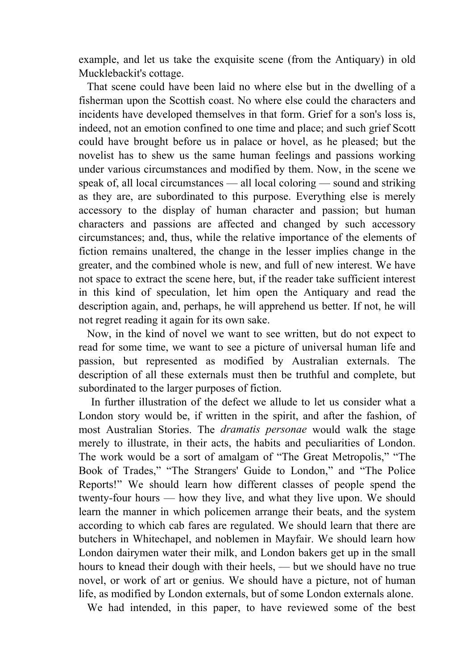example, and let us take the exquisite scene (from the Antiquary) in old Mucklebackit's cottage.

 That scene could have been laid no where else but in the dwelling of a fisherman upon the Scottish coast. No where else could the characters and incidents have developed themselves in that form. Grief for a son's loss is, indeed, not an emotion confined to one time and place; and such grief Scott could have brought before us in palace or hovel, as he pleased; but the novelist has to shew us the same human feelings and passions working under various circumstances and modified by them. Now, in the scene we speak of, all local circumstances — all local coloring — sound and striking as they are, are subordinated to this purpose. Everything else is merely accessory to the display of human character and passion; but human characters and passions are affected and changed by such accessory circumstances; and, thus, while the relative importance of the elements of fiction remains unaltered, the change in the lesser implies change in the greater, and the combined whole is new, and full of new interest. We have not space to extract the scene here, but, if the reader take sufficient interest in this kind of speculation, let him open the Antiquary and read the description again, and, perhaps, he will apprehend us better. If not, he will not regret reading it again for its own sake.

 Now, in the kind of novel we want to see written, but do not expect to read for some time, we want to see a picture of universal human life and passion, but represented as modified by Australian externals. The description of all these externals must then be truthful and complete, but subordinated to the larger purposes of fiction.

 In further illustration of the defect we allude to let us consider what a London story would be, if written in the spirit, and after the fashion, of most Australian Stories. The *dramatis personae* would walk the stage merely to illustrate, in their acts, the habits and peculiarities of London. The work would be a sort of amalgam of "The Great Metropolis," "The Book of Trades," "The Strangers' Guide to London," and "The Police Reports!" We should learn how different classes of people spend the twenty-four hours — how they live, and what they live upon. We should learn the manner in which policemen arrange their beats, and the system according to which cab fares are regulated. We should learn that there are butchers in Whitechapel, and noblemen in Mayfair. We should learn how London dairymen water their milk, and London bakers get up in the small hours to knead their dough with their heels, — but we should have no true novel, or work of art or genius. We should have a picture, not of human life, as modified by London externals, but of some London externals alone.

We had intended, in this paper, to have reviewed some of the best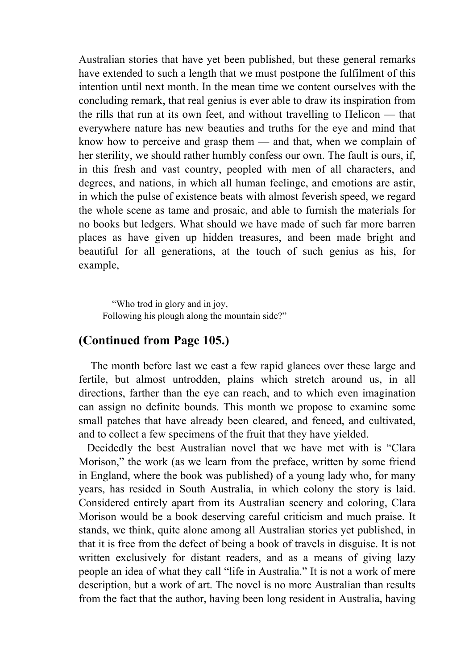Australian stories that have yet been published, but these general remarks have extended to such a length that we must postpone the fulfilment of this intention until next month. In the mean time we content ourselves with the concluding remark, that real genius is ever able to draw its inspiration from the rills that run at its own feet, and without travelling to Helicon — that everywhere nature has new beauties and truths for the eye and mind that know how to perceive and grasp them — and that, when we complain of her sterility, we should rather humbly confess our own. The fault is ours, if, in this fresh and vast country, peopled with men of all characters, and degrees, and nations, in which all human feelinge, and emotions are astir, in which the pulse of existence beats with almost feverish speed, we regard the whole scene as tame and prosaic, and able to furnish the materials for no books but ledgers. What should we have made of such far more barren places as have given up hidden treasures, and been made bright and beautiful for all generations, at the touch of such genius as his, for example,

 "Who trod in glory and in joy, Following his plough along the mountain side?"

#### **(Continued from Page 105.)**

 The month before last we cast a few rapid glances over these large and fertile, but almost untrodden, plains which stretch around us, in all directions, farther than the eye can reach, and to which even imagination can assign no definite bounds. This month we propose to examine some small patches that have already been cleared, and fenced, and cultivated, and to collect a few specimens of the fruit that they have yielded.

 Decidedly the best Australian novel that we have met with is "Clara Morison," the work (as we learn from the preface, written by some friend in England, where the book was published) of a young lady who, for many years, has resided in South Australia, in which colony the story is laid. Considered entirely apart from its Australian scenery and coloring, Clara Morison would be a book deserving careful criticism and much praise. It stands, we think, quite alone among all Australian stories yet published, in that it is free from the defect of being a book of travels in disguise. It is not written exclusively for distant readers, and as a means of giving lazy people an idea of what they call "life in Australia." It is not a work of mere description, but a work of art. The novel is no more Australian than results from the fact that the author, having been long resident in Australia, having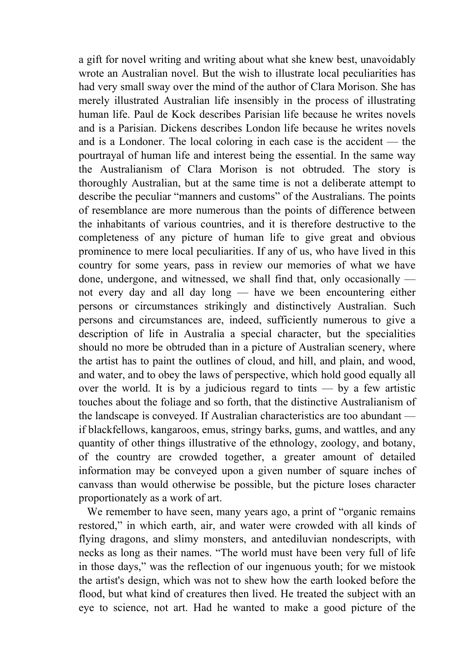a gift for novel writing and writing about what she knew best, unavoidably wrote an Australian novel. But the wish to illustrate local peculiarities has had very small sway over the mind of the author of Clara Morison. She has merely illustrated Australian life insensibly in the process of illustrating human life. Paul de Kock describes Parisian life because he writes novels and is a Parisian. Dickens describes London life because he writes novels and is a Londoner. The local coloring in each case is the accident — the pourtrayal of human life and interest being the essential. In the same way the Australianism of Clara Morison is not obtruded. The story is thoroughly Australian, but at the same time is not a deliberate attempt to describe the peculiar "manners and customs" of the Australians. The points of resemblance are more numerous than the points of difference between the inhabitants of various countries, and it is therefore destructive to the completeness of any picture of human life to give great and obvious prominence to mere local peculiarities. If any of us, who have lived in this country for some years, pass in review our memories of what we have done, undergone, and witnessed, we shall find that, only occasionally not every day and all day long — have we been encountering either persons or circumstances strikingly and distinctively Australian. Such persons and circumstances are, indeed, sufficiently numerous to give a description of life in Australia a special character, but the specialities should no more be obtruded than in a picture of Australian scenery, where the artist has to paint the outlines of cloud, and hill, and plain, and wood, and water, and to obey the laws of perspective, which hold good equally all over the world. It is by a judicious regard to tints — by a few artistic touches about the foliage and so forth, that the distinctive Australianism of the landscape is conveyed. If Australian characteristics are too abundant if blackfellows, kangaroos, emus, stringy barks, gums, and wattles, and any quantity of other things illustrative of the ethnology, zoology, and botany, of the country are crowded together, a greater amount of detailed information may be conveyed upon a given number of square inches of canvass than would otherwise be possible, but the picture loses character proportionately as a work of art.

We remember to have seen, many years ago, a print of "organic remains" restored," in which earth, air, and water were crowded with all kinds of flying dragons, and slimy monsters, and antediluvian nondescripts, with necks as long as their names. "The world must have been very full of life in those days," was the reflection of our ingenuous youth; for we mistook the artist's design, which was not to shew how the earth looked before the flood, but what kind of creatures then lived. He treated the subject with an eye to science, not art. Had he wanted to make a good picture of the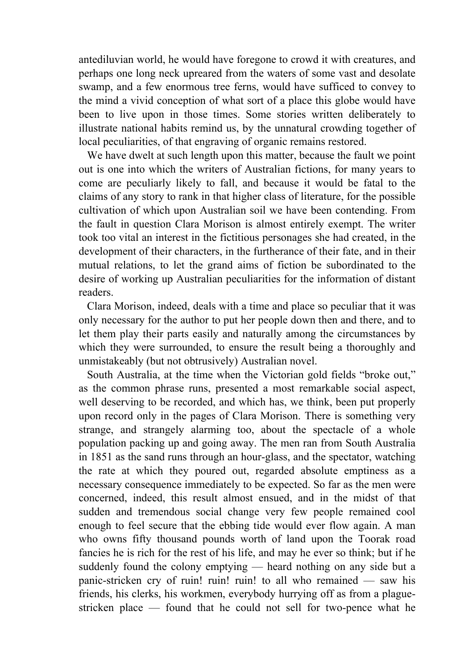antediluvian world, he would have foregone to crowd it with creatures, and perhaps one long neck upreared from the waters of some vast and desolate swamp, and a few enormous tree ferns, would have sufficed to convey to the mind a vivid conception of what sort of a place this globe would have been to live upon in those times. Some stories written deliberately to illustrate national habits remind us, by the unnatural crowding together of local peculiarities, of that engraving of organic remains restored.

 We have dwelt at such length upon this matter, because the fault we point out is one into which the writers of Australian fictions, for many years to come are peculiarly likely to fall, and because it would be fatal to the claims of any story to rank in that higher class of literature, for the possible cultivation of which upon Australian soil we have been contending. From the fault in question Clara Morison is almost entirely exempt. The writer took too vital an interest in the fictitious personages she had created, in the development of their characters, in the furtherance of their fate, and in their mutual relations, to let the grand aims of fiction be subordinated to the desire of working up Australian peculiarities for the information of distant readers.

 Clara Morison, indeed, deals with a time and place so peculiar that it was only necessary for the author to put her people down then and there, and to let them play their parts easily and naturally among the circumstances by which they were surrounded, to ensure the result being a thoroughly and unmistakeably (but not obtrusively) Australian novel.

 South Australia, at the time when the Victorian gold fields "broke out," as the common phrase runs, presented a most remarkable social aspect, well deserving to be recorded, and which has, we think, been put properly upon record only in the pages of Clara Morison. There is something very strange, and strangely alarming too, about the spectacle of a whole population packing up and going away. The men ran from South Australia in 1851 as the sand runs through an hour-glass, and the spectator, watching the rate at which they poured out, regarded absolute emptiness as a necessary consequence immediately to be expected. So far as the men were concerned, indeed, this result almost ensued, and in the midst of that sudden and tremendous social change very few people remained cool enough to feel secure that the ebbing tide would ever flow again. A man who owns fifty thousand pounds worth of land upon the Toorak road fancies he is rich for the rest of his life, and may he ever so think; but if he suddenly found the colony emptying — heard nothing on any side but a panic-stricken cry of ruin! ruin! ruin! to all who remained — saw his friends, his clerks, his workmen, everybody hurrying off as from a plaguestricken place — found that he could not sell for two-pence what he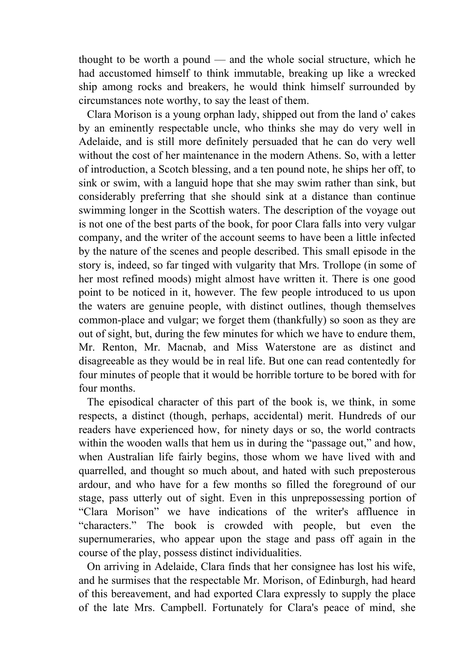thought to be worth a pound — and the whole social structure, which he had accustomed himself to think immutable, breaking up like a wrecked ship among rocks and breakers, he would think himself surrounded by circumstances note worthy, to say the least of them.

 Clara Morison is a young orphan lady, shipped out from the land o' cakes by an eminently respectable uncle, who thinks she may do very well in Adelaide, and is still more definitely persuaded that he can do very well without the cost of her maintenance in the modern Athens. So, with a letter of introduction, a Scotch blessing, and a ten pound note, he ships her off, to sink or swim, with a languid hope that she may swim rather than sink, but considerably preferring that she should sink at a distance than continue swimming longer in the Scottish waters. The description of the voyage out is not one of the best parts of the book, for poor Clara falls into very vulgar company, and the writer of the account seems to have been a little infected by the nature of the scenes and people described. This small episode in the story is, indeed, so far tinged with vulgarity that Mrs. Trollope (in some of her most refined moods) might almost have written it. There is one good point to be noticed in it, however. The few people introduced to us upon the waters are genuine people, with distinct outlines, though themselves common-place and vulgar; we forget them (thankfully) so soon as they are out of sight, but, during the few minutes for which we have to endure them, Mr. Renton, Mr. Macnab, and Miss Waterstone are as distinct and disagreeable as they would be in real life. But one can read contentedly for four minutes of people that it would be horrible torture to be bored with for four months.

 The episodical character of this part of the book is, we think, in some respects, a distinct (though, perhaps, accidental) merit. Hundreds of our readers have experienced how, for ninety days or so, the world contracts within the wooden walls that hem us in during the "passage out," and how, when Australian life fairly begins, those whom we have lived with and quarrelled, and thought so much about, and hated with such preposterous ardour, and who have for a few months so filled the foreground of our stage, pass utterly out of sight. Even in this unprepossessing portion of "Clara Morison" we have indications of the writer's affluence in "characters." The book is crowded with people, but even the supernumeraries, who appear upon the stage and pass off again in the course of the play, possess distinct individualities.

 On arriving in Adelaide, Clara finds that her consignee has lost his wife, and he surmises that the respectable Mr. Morison, of Edinburgh, had heard of this bereavement, and had exported Clara expressly to supply the place of the late Mrs. Campbell. Fortunately for Clara's peace of mind, she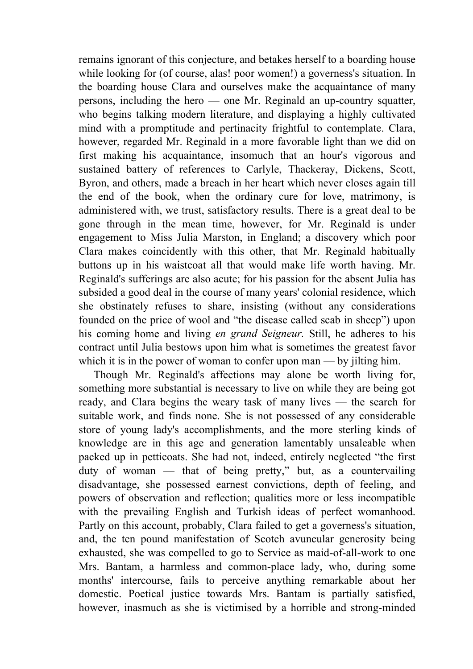remains ignorant of this conjecture, and betakes herself to a boarding house while looking for (of course, alas! poor women!) a governess's situation. In the boarding house Clara and ourselves make the acquaintance of many persons, including the hero — one Mr. Reginald an up-country squatter, who begins talking modern literature, and displaying a highly cultivated mind with a promptitude and pertinacity frightful to contemplate. Clara, however, regarded Mr. Reginald in a more favorable light than we did on first making his acquaintance, insomuch that an hour's vigorous and sustained battery of references to Carlyle, Thackeray, Dickens, Scott, Byron, and others, made a breach in her heart which never closes again till the end of the book, when the ordinary cure for love, matrimony, is administered with, we trust, satisfactory results. There is a great deal to be gone through in the mean time, however, for Mr. Reginald is under engagement to Miss Julia Marston, in England; a discovery which poor Clara makes coincidently with this other, that Mr. Reginald habitually buttons up in his waistcoat all that would make life worth having. Mr. Reginald's sufferings are also acute; for his passion for the absent Julia has subsided a good deal in the course of many years' colonial residence, which she obstinately refuses to share, insisting (without any considerations founded on the price of wool and "the disease called scab in sheep") upon his coming home and living *en grand Seigneur.* Still, he adheres to his contract until Julia bestows upon him what is sometimes the greatest favor which it is in the power of woman to confer upon man — by jilting him.

 Though Mr. Reginald's affections may alone be worth living for, something more substantial is necessary to live on while they are being got ready, and Clara begins the weary task of many lives — the search for suitable work, and finds none. She is not possessed of any considerable store of young lady's accomplishments, and the more sterling kinds of knowledge are in this age and generation lamentably unsaleable when packed up in petticoats. She had not, indeed, entirely neglected "the first duty of woman — that of being pretty," but, as a countervailing disadvantage, she possessed earnest convictions, depth of feeling, and powers of observation and reflection; qualities more or less incompatible with the prevailing English and Turkish ideas of perfect womanhood. Partly on this account, probably, Clara failed to get a governess's situation, and, the ten pound manifestation of Scotch avuncular generosity being exhausted, she was compelled to go to Service as maid-of-all-work to one Mrs. Bantam, a harmless and common-place lady, who, during some months' intercourse, fails to perceive anything remarkable about her domestic. Poetical justice towards Mrs. Bantam is partially satisfied, however, inasmuch as she is victimised by a horrible and strong-minded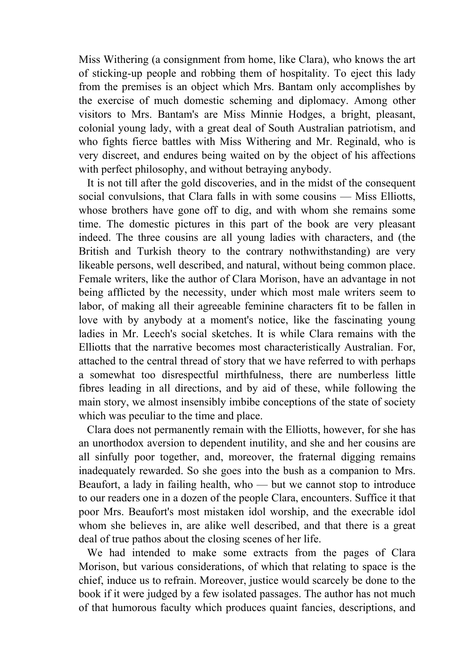Miss Withering (a consignment from home, like Clara), who knows the art of sticking-up people and robbing them of hospitality. To eject this lady from the premises is an object which Mrs. Bantam only accomplishes by the exercise of much domestic scheming and diplomacy. Among other visitors to Mrs. Bantam's are Miss Minnie Hodges, a bright, pleasant, colonial young lady, with a great deal of South Australian patriotism, and who fights fierce battles with Miss Withering and Mr. Reginald, who is very discreet, and endures being waited on by the object of his affections with perfect philosophy, and without betraying anybody.

 It is not till after the gold discoveries, and in the midst of the consequent social convulsions, that Clara falls in with some cousins — Miss Elliotts, whose brothers have gone off to dig, and with whom she remains some time. The domestic pictures in this part of the book are very pleasant indeed. The three cousins are all young ladies with characters, and (the British and Turkish theory to the contrary nothwithstanding) are very likeable persons, well described, and natural, without being common place. Female writers, like the author of Clara Morison, have an advantage in not being afflicted by the necessity, under which most male writers seem to labor, of making all their agreeable feminine characters fit to be fallen in love with by anybody at a moment's notice, like the fascinating young ladies in Mr. Leech's social sketches. It is while Clara remains with the Elliotts that the narrative becomes most characteristically Australian. For, attached to the central thread of story that we have referred to with perhaps a somewhat too disrespectful mirthfulness, there are numberless little fibres leading in all directions, and by aid of these, while following the main story, we almost insensibly imbibe conceptions of the state of society which was peculiar to the time and place.

 Clara does not permanently remain with the Elliotts, however, for she has an unorthodox aversion to dependent inutility, and she and her cousins are all sinfully poor together, and, moreover, the fraternal digging remains inadequately rewarded. So she goes into the bush as a companion to Mrs. Beaufort, a lady in failing health, who — but we cannot stop to introduce to our readers one in a dozen of the people Clara, encounters. Suffice it that poor Mrs. Beaufort's most mistaken idol worship, and the execrable idol whom she believes in, are alike well described, and that there is a great deal of true pathos about the closing scenes of her life.

 We had intended to make some extracts from the pages of Clara Morison, but various considerations, of which that relating to space is the chief, induce us to refrain. Moreover, justice would scarcely be done to the book if it were judged by a few isolated passages. The author has not much of that humorous faculty which produces quaint fancies, descriptions, and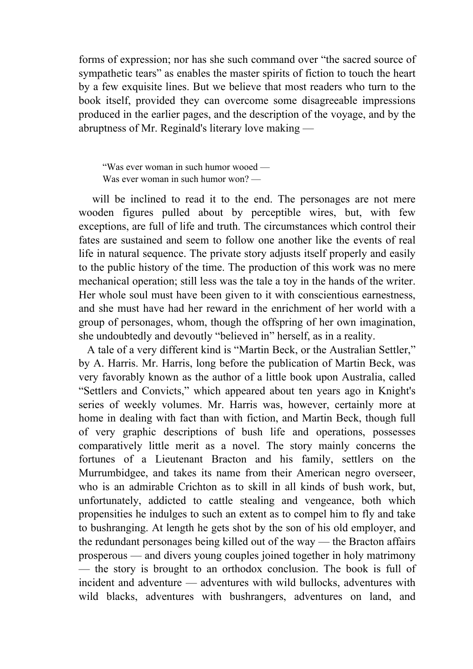forms of expression; nor has she such command over "the sacred source of sympathetic tears" as enables the master spirits of fiction to touch the heart by a few exquisite lines. But we believe that most readers who turn to the book itself, provided they can overcome some disagreeable impressions produced in the earlier pages, and the description of the voyage, and by the abruptness of Mr. Reginald's literary love making —

"Was ever woman in such humor wooed — Was ever woman in such humor won? —

will be inclined to read it to the end. The personages are not mere wooden figures pulled about by perceptible wires, but, with few exceptions, are full of life and truth. The circumstances which control their fates are sustained and seem to follow one another like the events of real life in natural sequence. The private story adjusts itself properly and easily to the public history of the time. The production of this work was no mere mechanical operation; still less was the tale a toy in the hands of the writer. Her whole soul must have been given to it with conscientious earnestness, and she must have had her reward in the enrichment of her world with a group of personages, whom, though the offspring of her own imagination, she undoubtedly and devoutly "believed in" herself, as in a reality.

 A tale of a very different kind is "Martin Beck, or the Australian Settler," by A. Harris. Mr. Harris, long before the publication of Martin Beck, was very favorably known as the author of a little book upon Australia, called "Settlers and Convicts," which appeared about ten years ago in Knight's series of weekly volumes. Mr. Harris was, however, certainly more at home in dealing with fact than with fiction, and Martin Beck, though full of very graphic descriptions of bush life and operations, possesses comparatively little merit as a novel. The story mainly concerns the fortunes of a Lieutenant Bracton and his family, settlers on the Murrumbidgee, and takes its name from their American negro overseer, who is an admirable Crichton as to skill in all kinds of bush work, but, unfortunately, addicted to cattle stealing and vengeance, both which propensities he indulges to such an extent as to compel him to fly and take to bushranging. At length he gets shot by the son of his old employer, and the redundant personages being killed out of the way — the Bracton affairs prosperous — and divers young couples joined together in holy matrimony — the story is brought to an orthodox conclusion. The book is full of incident and adventure — adventures with wild bullocks, adventures with wild blacks, adventures with bushrangers, adventures on land, and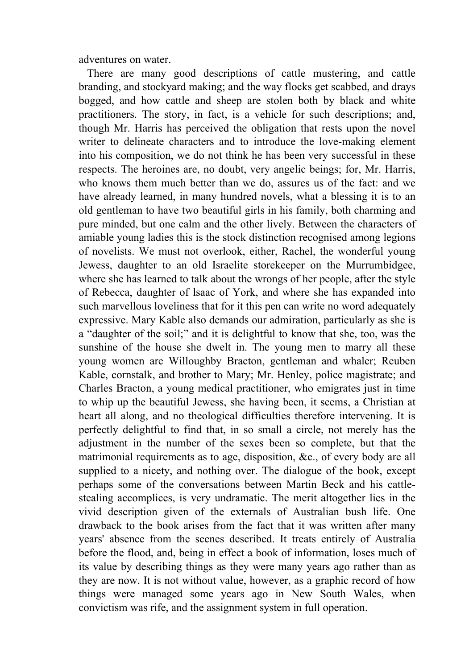adventures on water.

 There are many good descriptions of cattle mustering, and cattle branding, and stockyard making; and the way flocks get scabbed, and drays bogged, and how cattle and sheep are stolen both by black and white practitioners. The story, in fact, is a vehicle for such descriptions; and, though Mr. Harris has perceived the obligation that rests upon the novel writer to delineate characters and to introduce the love-making element into his composition, we do not think he has been very successful in these respects. The heroines are, no doubt, very angelic beings; for, Mr. Harris, who knows them much better than we do, assures us of the fact: and we have already learned, in many hundred novels, what a blessing it is to an old gentleman to have two beautiful girls in his family, both charming and pure minded, but one calm and the other lively. Between the characters of amiable young ladies this is the stock distinction recognised among legions of novelists. We must not overlook, either, Rachel, the wonderful young Jewess, daughter to an old Israelite storekeeper on the Murrumbidgee, where she has learned to talk about the wrongs of her people, after the style of Rebecca, daughter of lsaac of York, and where she has expanded into such marvellous loveliness that for it this pen can write no word adequately expressive. Mary Kable also demands our admiration, particularly as she is a "daughter of the soil;" and it is delightful to know that she, too, was the sunshine of the house she dwelt in. The young men to marry all these young women are Willoughby Bracton, gentleman and whaler; Reuben Kable, cornstalk, and brother to Mary; Mr. Henley, police magistrate; and Charles Bracton, a young medical practitioner, who emigrates just in time to whip up the beautiful Jewess, she having been, it seems, a Christian at heart all along, and no theological difficulties therefore intervening. It is perfectly delightful to find that, in so small a circle, not merely has the adjustment in the number of the sexes been so complete, but that the matrimonial requirements as to age, disposition, &c., of every body are all supplied to a nicety, and nothing over. The dialogue of the book, except perhaps some of the conversations between Martin Beck and his cattlestealing accomplices, is very undramatic. The merit altogether lies in the vivid description given of the externals of Australian bush life. One drawback to the book arises from the fact that it was written after many years' absence from the scenes described. It treats entirely of Australia before the flood, and, being in effect a book of information, loses much of its value by describing things as they were many years ago rather than as they are now. It is not without value, however, as a graphic record of how things were managed some years ago in New South Wales, when convictism was rife, and the assignment system in full operation.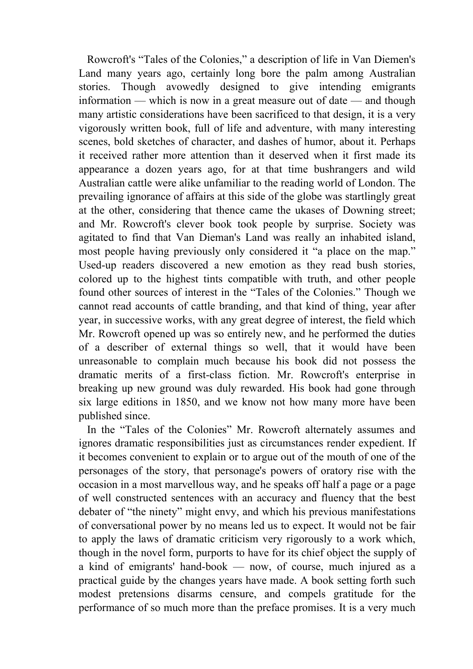Rowcroft's "Tales of the Colonies," a description of life in Van Diemen's Land many years ago, certainly long bore the palm among Australian stories. Though avowedly designed to give intending emigrants information — which is now in a great measure out of date — and though many artistic considerations have been sacrificed to that design, it is a very vigorously written book, full of life and adventure, with many interesting scenes, bold sketches of character, and dashes of humor, about it. Perhaps it received rather more attention than it deserved when it first made its appearance a dozen years ago, for at that time bushrangers and wild Australian cattle were alike unfamiliar to the reading world of London. The prevailing ignorance of affairs at this side of the globe was startlingly great at the other, considering that thence came the ukases of Downing street; and Mr. Rowcroft's clever book took people by surprise. Society was agitated to find that Van Dieman's Land was really an inhabited island, most people having previously only considered it "a place on the map." Used-up readers discovered a new emotion as they read bush stories, colored up to the highest tints compatible with truth, and other people found other sources of interest in the "Tales of the Colonies." Though we cannot read accounts of cattle branding, and that kind of thing, year after year, in successive works, with any great degree of interest, the field which Mr. Rowcroft opened up was so entirely new, and he performed the duties of a describer of external things so well, that it would have been unreasonable to complain much because his book did not possess the dramatic merits of a first-class fiction. Mr. Rowcroft's enterprise in breaking up new ground was duly rewarded. His book had gone through six large editions in 1850, and we know not how many more have been published since.

 In the "Tales of the Colonies" Mr. Rowcroft alternately assumes and ignores dramatic responsibilities just as circumstances render expedient. If it becomes convenient to explain or to argue out of the mouth of one of the personages of the story, that personage's powers of oratory rise with the occasion in a most marvellous way, and he speaks off half a page or a page of well constructed sentences with an accuracy and fluency that the best debater of "the ninety" might envy, and which his previous manifestations of conversational power by no means led us to expect. It would not be fair to apply the laws of dramatic criticism very rigorously to a work which, though in the novel form, purports to have for its chief object the supply of a kind of emigrants' hand-book — now, of course, much injured as a practical guide by the changes years have made. A book setting forth such modest pretensions disarms censure, and compels gratitude for the performance of so much more than the preface promises. It is a very much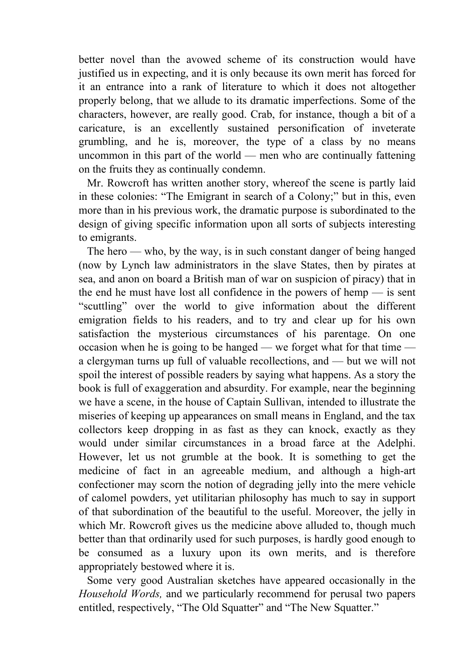better novel than the avowed scheme of its construction would have justified us in expecting, and it is only because its own merit has forced for it an entrance into a rank of literature to which it does not altogether properly belong, that we allude to its dramatic imperfections. Some of the characters, however, are really good. Crab, for instance, though a bit of a caricature, is an excellently sustained personification of inveterate grumbling, and he is, moreover, the type of a class by no means uncommon in this part of the world — men who are continually fattening on the fruits they as continually condemn.

 Mr. Rowcroft has written another story, whereof the scene is partly laid in these colonies: "The Emigrant in search of a Colony;" but in this, even more than in his previous work, the dramatic purpose is subordinated to the design of giving specific information upon all sorts of subjects interesting to emigrants.

 The hero — who, by the way, is in such constant danger of being hanged (now by Lynch law administrators in the slave States, then by pirates at sea, and anon on board a British man of war on suspicion of piracy) that in the end he must have lost all confidence in the powers of hemp — is sent "scuttling" over the world to give information about the different emigration fields to his readers, and to try and clear up for his own satisfaction the mysterious circumstances of his parentage. On one occasion when he is going to be hanged — we forget what for that time a clergyman turns up full of valuable recollections, and — but we will not spoil the interest of possible readers by saying what happens. As a story the book is full of exaggeration and absurdity. For example, near the beginning we have a scene, in the house of Captain Sullivan, intended to illustrate the miseries of keeping up appearances on small means in England, and the tax collectors keep dropping in as fast as they can knock, exactly as they would under similar circumstances in a broad farce at the Adelphi. However, let us not grumble at the book. It is something to get the medicine of fact in an agreeable medium, and although a high-art confectioner may scorn the notion of degrading jelly into the mere vehicle of calomel powders, yet utilitarian philosophy has much to say in support of that subordination of the beautiful to the useful. Moreover, the jelly in which Mr. Rowcroft gives us the medicine above alluded to, though much better than that ordinarily used for such purposes, is hardly good enough to be consumed as a luxury upon its own merits, and is therefore appropriately bestowed where it is.

 Some very good Australian sketches have appeared occasionally in the *Household Words,* and we particularly recommend for perusal two papers entitled, respectively, "The Old Squatter" and "The New Squatter."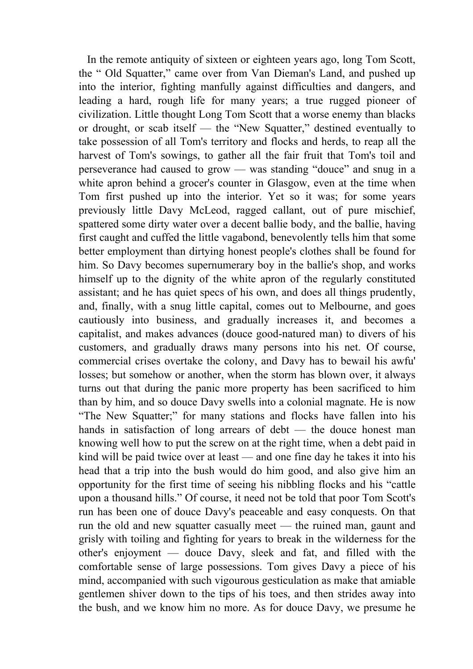In the remote antiquity of sixteen or eighteen years ago, long Tom Scott, the " Old Squatter," came over from Van Dieman's Land, and pushed up into the interior, fighting manfully against difficulties and dangers, and leading a hard, rough life for many years; a true rugged pioneer of civilization. Little thought Long Tom Scott that a worse enemy than blacks or drought, or scab itself — the "New Squatter," destined eventually to take possession of all Tom's territory and flocks and herds, to reap all the harvest of Tom's sowings, to gather all the fair fruit that Tom's toil and perseverance had caused to grow — was standing "douce" and snug in a white apron behind a grocer's counter in Glasgow, even at the time when Tom first pushed up into the interior. Yet so it was; for some years previously little Davy McLeod, ragged callant, out of pure mischief, spattered some dirty water over a decent ballie body, and the ballie, having first caught and cuffed the little vagabond, benevolently tells him that some better employment than dirtying honest people's clothes shall be found for him. So Davy becomes supernumerary boy in the ballie's shop, and works himself up to the dignity of the white apron of the regularly constituted assistant; and he has quiet specs of his own, and does all things prudently, and, finally, with a snug little capital, comes out to Melbourne, and goes cautiously into business, and gradually increases it, and becomes a capitalist, and makes advances (douce good-natured man) to divers of his customers, and gradually draws many persons into his net. Of course, commercial crises overtake the colony, and Davy has to bewail his awfu' losses; but somehow or another, when the storm has blown over, it always turns out that during the panic more property has been sacrificed to him than by him, and so douce Davy swells into a colonial magnate. He is now "The New Squatter;" for many stations and flocks have fallen into his hands in satisfaction of long arrears of debt — the douce honest man knowing well how to put the screw on at the right time, when a debt paid in kind will be paid twice over at least — and one fine day he takes it into his head that a trip into the bush would do him good, and also give him an opportunity for the first time of seeing his nibbling flocks and his "cattle upon a thousand hills." Of course, it need not be told that poor Tom Scott's run has been one of douce Davy's peaceable and easy conquests. On that run the old and new squatter casually meet — the ruined man, gaunt and grisly with toiling and fighting for years to break in the wilderness for the other's enjoyment — douce Davy, sleek and fat, and filled with the comfortable sense of large possessions. Tom gives Davy a piece of his mind, accompanied with such vigourous gesticulation as make that amiable gentlemen shiver down to the tips of his toes, and then strides away into the bush, and we know him no more. As for douce Davy, we presume he